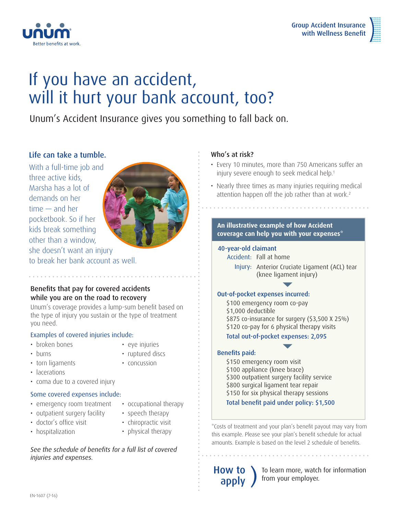



# If you have an accident, will it hurt your bank account, too?

Unum's Accident Insurance gives you something to fall back on.

## Life can take a tumble.

With a full-time job and three active kids, Marsha has a lot of demands on her time — and her pocketbook. So if her kids break something other than a window, she doesn't want an injury to break her bank account as well.



Benefits that pay for covered accidents while you are on the road to recovery

Unum's coverage provides a lump-sum benefit based on the type of injury you sustain or the type of treatment you need.

### Examples of covered injuries include:

- broken bones
- eye injuries

• burns

- ruptured discs
- torn ligaments
- concussion
- lacerations
- coma due to a covered injury

### Some covered expenses include:

- emergency room treatment
- occupational therapy
- outpatient surgery facility
- speech therapy
- doctor's office visit
- chiropractic visit
- hospitalization
- physical therapy

*See the schedule of benefits for a full list of covered injuries and expenses.*

## Who's at risk?

- Every 10 minutes, more than 750 Americans suffer an injury severe enough to seek medical help.<sup>1</sup>
- Nearly three times as many injuries requiring medical attention happen off the job rather than at work.<sup>2</sup>

### **An illustrative example of how Accident coverage can help you with your expenses\***

### 40-year-old claimant

- Accident: Fall at home
	- Injury: Anterior Cruciate Ligament (ACL) tear (knee ligament injury)

### Out-of-pocket expenses incurred:

\$100 emergency room co-pay \$1,000 deductible \$875 co-insurance for surgery (\$3,500 X 25%) \$120 co-pay for 6 physical therapy visits

Total out-of-pocket expenses: 2,095

### Benefits paid:

\$150 emergency room visit \$100 appliance (knee brace) \$300 outpatient surgery facility service \$800 surgical ligament tear repair \$150 for six physical therapy sessions Total benefit paid under policy: \$1,500

\*Costs of treatment and your plan's benefit payout may vary from this example. Please see your plan's benefit schedule for actual amounts. Example is based on the level 2 schedule of benefits.

How to

To learn more, watch for information from your employer.